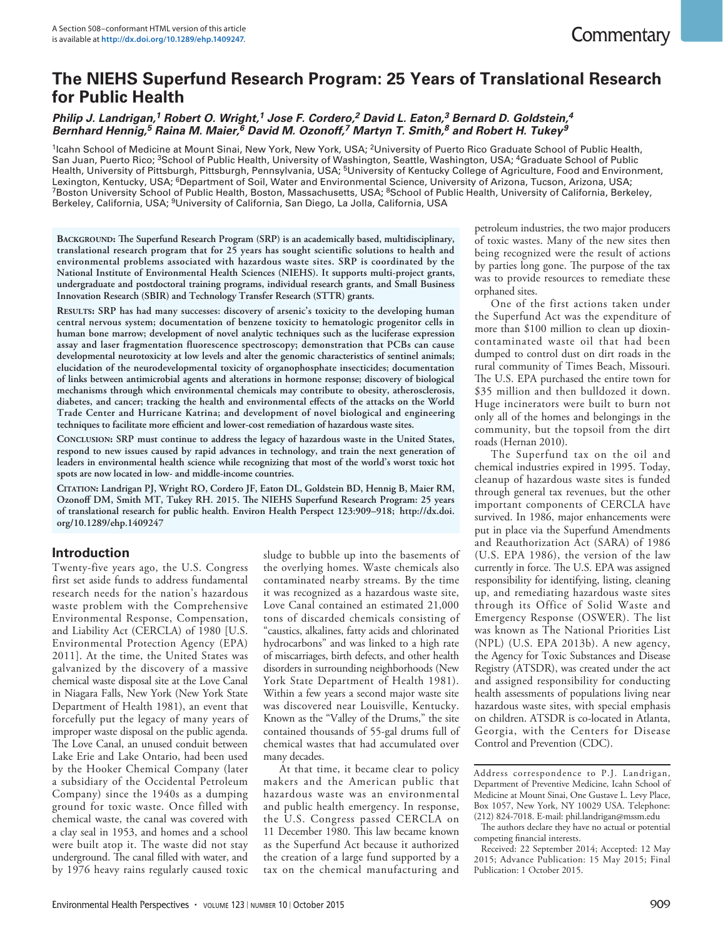# **The NIEHS Superfund Research Program: 25 Years of Translational Research for Public Health**

## *Philip J. Landrigan,1 Robert O. Wright,1 Jose F. Cordero,2 David L. Eaton,3 Bernard D. Goldstein,4 Bernhard Hennig,5 Raina M. Maier,6 David M. Ozonoff,7 Martyn T. Smith,8 and Robert H. Tukey9*

<sup>1</sup>Icahn School of Medicine at Mount Sinai, New York, New York, USA; <sup>2</sup>University of Puerto Rico Graduate School of Public Health, San Juan, Puerto Rico; <sup>3</sup>School of Public Health, University of Washington, Seattle, Washington, USA; <sup>4</sup>Graduate School of Public Health, University of Pittsburgh, Pittsburgh, Pennsylvania, USA; <sup>5</sup>University of Kentucky College of Agriculture, Food and Environment,<br>Lexington, Kentucky, USA; <sup>6</sup>Department of Soil, Water and Environmental Science, Uni 7<br>Boston University School of Public Health, Boston, Massachusetts, USA; <sup>8</sup>School of Public Health, University of California, Berkeley, Berkeley, California, USA; 9University of California, San Diego, La Jolla, California, USA

**Background: The Superfund Research Program (SRP) is an academically based, multidisciplinary, translational research program that for 25 years has sought scientific solutions to health and environmental problems associated with hazardous waste sites. SRP is coordinated by the National Institute of Environmental Health Sciences (NIEHS). It supports multi-project grants, undergraduate and postdoctoral training programs, individual research grants, and Small Business Innovation Research (SBIR) and Technology Transfer Research (STTR) grants.**

**Results: SRP has had many successes: discovery of arsenic's toxicity to the developing human central nervous system; documentation of benzene toxicity to hematologic progenitor cells in human bone marrow; development of novel analytic techniques such as the luciferase expression assay and laser fragmentation fluorescence spectroscopy; demonstration that PCBs can cause developmental neurotoxicity at low levels and alter the genomic characteristics of sentinel animals; elucidation of the neurodevelopmental toxicity of organophosphate insecticides; documentation of links between antimicrobial agents and alterations in hormone response; discovery of biological mechanisms through which environmental chemicals may contribute to obesity, atherosclerosis, diabetes, and cancer; tracking the health and environmental effects of the attacks on the World Trade Center and Hurricane Katrina; and development of novel biological and engineering techniques to facilitate more efficient and lower-cost remediation of hazardous waste sites.**

**Conclusion: SRP must continue to address the legacy of hazardous waste in the United States, respond to new issues caused by rapid advances in technology, and train the next generation of leaders in environmental health science while recognizing that most of the world's worst toxic hot spots are now located in low- and middle-income countries.**

**Citation: Landrigan PJ, Wright RO, Cordero JF, Eaton DL, Goldstein BD, Hennig B, Maier RM, Ozonoff DM, Smith MT, Tukey RH. 2015. The NIEHS Superfund Research Program: 25 years of translational research for public health. Environ Health Perspect 123:909–918; [http://dx.doi.](http://dx.doi.org/10.1289/ehp.1409247) [org/10.1289/ehp.1409247](http://dx.doi.org/10.1289/ehp.1409247)**

# **Introduction**

Twenty-five years ago, the U.S. Congress first set aside funds to address fundamental research needs for the nation's hazardous waste problem with the Comprehensive Environmental Response, Compensation, and Liability Act (CERCLA) of 1980 [U.S. Environmental Protection Agency (EPA) 2011]. At the time, the United States was galvanized by the discovery of a massive chemical waste disposal site at the Love Canal in Niagara Falls, New York (New York State Department of Health 1981), an event that forcefully put the legacy of many years of improper waste disposal on the public agenda. The Love Canal, an unused conduit between Lake Erie and Lake Ontario, had been used by the Hooker Chemical Company (later a subsidiary of the Occidental Petroleum Company) since the 1940s as a dumping ground for toxic waste. Once filled with chemical waste, the canal was covered with a clay seal in 1953, and homes and a school were built atop it. The waste did not stay underground. The canal filled with water, and by 1976 heavy rains regularly caused toxic

sludge to bubble up into the basements of the overlying homes. Waste chemicals also contaminated nearby streams. By the time it was recognized as a hazardous waste site, Love Canal contained an estimated 21,000 tons of discarded chemicals consisting of "caustics, alkalines, fatty acids and chlorinated hydrocarbons" and was linked to a high rate of miscarriages, birth defects, and other health disorders in surrounding neighborhoods (New York State Department of Health 1981). Within a few years a second major waste site was discovered near Louisville, Kentucky. Known as the "Valley of the Drums," the site contained thousands of 55-gal drums full of chemical wastes that had accumulated over many decades.

At that time, it became clear to policy makers and the American public that hazardous waste was an environmental and public health emergency. In response, the U.S. Congress passed CERCLA on 11 December 1980. This law became known as the Superfund Act because it authorized the creation of a large fund supported by a tax on the chemical manufacturing and petroleum industries, the two major producers of toxic wastes. Many of the new sites then being recognized were the result of actions by parties long gone. The purpose of the tax was to provide resources to remediate these orphaned sites.

One of the first actions taken under the Superfund Act was the expenditure of more than \$100 million to clean up dioxincontaminated waste oil that had been dumped to control dust on dirt roads in the rural community of Times Beach, Missouri. The U.S. EPA purchased the entire town for \$35 million and then bulldozed it down. Huge incinerators were built to burn not only all of the homes and belongings in the community, but the topsoil from the dirt roads (Hernan 2010).

The Superfund tax on the oil and chemical industries expired in 1995. Today, cleanup of hazardous waste sites is funded through general tax revenues, but the other important components of CERCLA have survived. In 1986, major enhancements were put in place via the Superfund Amendments and Reauthorization Act (SARA) of 1986 (U.S. EPA 1986), the version of the law currently in force. The U.S. EPA was assigned responsibility for identifying, listing, cleaning up, and remediating hazardous waste sites through its Office of Solid Waste and Emergency Response (OSWER). The list was known as The National Priorities List (NPL) (U.S. EPA 2013b). A new agency, the Agency for Toxic Substances and Disease Registry (ATSDR), was created under the act and assigned responsibility for conducting health assessments of populations living near hazardous waste sites, with special emphasis on children. ATSDR is co-located in Atlanta, Georgia, with the Centers for Disease Control and Prevention (CDC).

Address correspondence to P.J. Landrigan, Department of Preventive Medicine, Icahn School of Medicine at Mount Sinai, One Gustave L. Levy Place, Box 1057, New York, NY 10029 USA. Telephone: (212) 824-7018. E-mail: phil.landrigan@mssm.edu

The authors declare they have no actual or potential competing financial interests.

Received: 22 September 2014; Accepted: 12 May 2015; Advance Publication: 15 May 2015; Final Publication: 1 October 2015.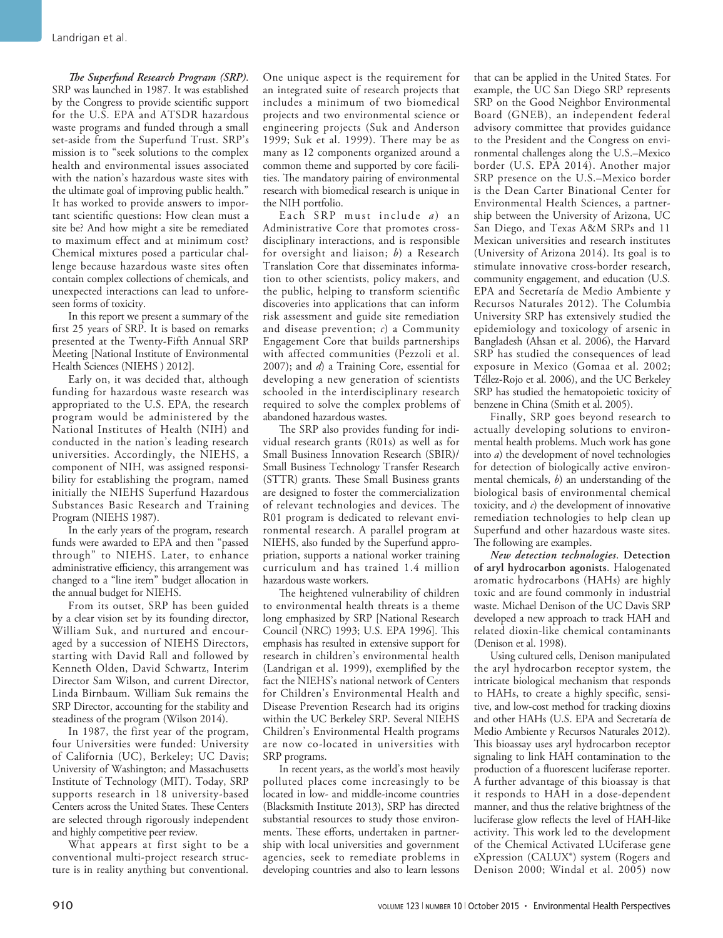*The Superfund Research Program (SRP)*. SRP was launched in 1987. It was established by the Congress to provide scientific support for the U.S. EPA and ATSDR hazardous waste programs and funded through a small set-aside from the Superfund Trust. SRP's mission is to "seek solutions to the complex health and environmental issues associated with the nation's hazardous waste sites with the ultimate goal of improving public health." It has worked to provide answers to important scientific questions: How clean must a site be? And how might a site be remediated to maximum effect and at minimum cost? Chemical mixtures posed a particular challenge because hazardous waste sites often contain complex collections of chemicals, and unexpected interactions can lead to unforeseen forms of toxicity.

In this report we present a summary of the first 25 years of SRP. It is based on remarks presented at the Twenty-Fifth Annual SRP Meeting [National Institute of Environmental Health Sciences (NIEHS ) 2012].

Early on, it was decided that, although funding for hazardous waste research was appropriated to the U.S. EPA, the research program would be administered by the National Institutes of Health (NIH) and conducted in the nation's leading research universities. Accordingly, the NIEHS, a component of NIH, was assigned responsibility for establishing the program, named initially the NIEHS Superfund Hazardous Substances Basic Research and Training Program (NIEHS 1987).

In the early years of the program, research funds were awarded to EPA and then "passed through" to NIEHS. Later, to enhance administrative efficiency, this arrangement was changed to a "line item" budget allocation in the annual budget for NIEHS.

From its outset, SRP has been guided by a clear vision set by its founding director, William Suk, and nurtured and encouraged by a succession of NIEHS Directors, starting with David Rall and followed by Kenneth Olden, David Schwartz, Interim Director Sam Wilson, and current Director, Linda Birnbaum. William Suk remains the SRP Director, accounting for the stability and steadiness of the program (Wilson 2014).

In 1987, the first year of the program, four Universities were funded: University of California (UC), Berkeley; UC Davis; University of Washington; and Massachusetts Institute of Technology (MIT). Today, SRP supports research in 18 university-based Centers across the United States. These Centers are selected through rigorously independent and highly competitive peer review.

What appears at first sight to be a conventional multi-project research structure is in reality anything but conventional.

One unique aspect is the requirement for an integrated suite of research projects that includes a minimum of two biomedical projects and two environmental science or engineering projects (Suk and Anderson 1999; Suk et al. 1999). There may be as many as 12 components organized around a common theme and supported by core facilities. The mandatory pairing of environmental research with biomedical research is unique in the NIH portfolio.

Each SRP must include *a*) an Administrative Core that promotes crossdisciplinary interactions, and is responsible for oversight and liaison; *b*) a Research Translation Core that disseminates information to other scientists, policy makers, and the public, helping to transform scientific discoveries into applications that can inform risk assessment and guide site remediation and disease prevention; *c*) a Community Engagement Core that builds partnerships with affected communities (Pezzoli et al. 2007); and *d*) a Training Core, essential for developing a new generation of scientists schooled in the interdisciplinary research required to solve the complex problems of abandoned hazardous wastes.

The SRP also provides funding for individual research grants (R01s) as well as for Small Business Innovation Research (SBIR)/ Small Business Technology Transfer Research (STTR) grants. These Small Business grants are designed to foster the commercialization of relevant technologies and devices. The R01 program is dedicated to relevant environmental research. A parallel program at NIEHS, also funded by the Superfund appropriation, supports a national worker training curriculum and has trained 1.4 million hazardous waste workers.

The heightened vulnerability of children to environmental health threats is a theme long emphasized by SRP [National Research Council (NRC) 1993; U.S. EPA 1996]. This emphasis has resulted in extensive support for research in children's environmental health (Landrigan et al. 1999), exemplified by the fact the NIEHS's national network of Centers for Children's Environmental Health and Disease Prevention Research had its origins within the UC Berkeley SRP. Several NIEHS Children's Environmental Health programs are now co-located in universities with SRP programs.

In recent years, as the world's most heavily polluted places come increasingly to be located in low- and middle-income countries (Blacksmith Institute 2013), SRP has directed substantial resources to study those environments. These efforts, undertaken in partnership with local universities and government agencies, seek to remediate problems in developing countries and also to learn lessons that can be applied in the United States. For example, the UC San Diego SRP represents SRP on the Good Neighbor Environmental Board (GNEB), an independent federal advisory committee that provides guidance to the President and the Congress on environmental challenges along the U.S.–Mexico border (U.S. EPA 2014). Another major SRP presence on the U.S.–Mexico border is the Dean Carter Binational Center for Environmental Health Sciences, a partnership between the University of Arizona, UC San Diego, and Texas A&M SRPs and 11 Mexican universities and research institutes (University of Arizona 2014). Its goal is to stimulate innovative cross-border research, community engagement, and education (U.S. EPA and Secretaría de Medio Ambiente y Recursos Naturales 2012). The Columbia University SRP has extensively studied the epidemiology and toxicology of arsenic in Bangladesh (Ahsan et al. 2006), the Harvard SRP has studied the consequences of lead exposure in Mexico (Gomaa et al. 2002; Téllez-Rojo et al. 2006), and the UC Berkeley SRP has studied the hematopoietic toxicity of benzene in China (Smith et al. 2005).

Finally, SRP goes beyond research to actually developing solutions to environmental health problems. Much work has gone into *a*) the development of novel technologies for detection of biologically active environmental chemicals, *b*) an understanding of the biological basis of environmental chemical toxicity, and *c*) the development of innovative remediation technologies to help clean up Superfund and other hazardous waste sites. The following are examples.

*New detection technologies*. **Detection of aryl hydrocarbon agonists**. Halogenated aromatic hydrocarbons (HAHs) are highly toxic and are found commonly in industrial waste. Michael Denison of the UC Davis SRP developed a new approach to track HAH and related dioxin-like chemical contaminants (Denison et al. 1998).

Using cultured cells, Denison manipulated the aryl hydrocarbon receptor system, the intricate biological mechanism that responds to HAHs, to create a highly specific, sensitive, and low-cost method for tracking dioxins and other HAHs (U.S. EPA and Secretaría de Medio Ambiente y Recursos Naturales 2012). This bioassay uses aryl hydrocarbon receptor signaling to link HAH contamination to the production of a fluorescent luciferase reporter. A further advantage of this bioassay is that it responds to HAH in a dose-dependent manner, and thus the relative brightness of the luciferase glow reflects the level of HAH-like activity. This work led to the development of the Chemical Activated LUciferase gene eXpression (CALUX®) system (Rogers and Denison 2000; Windal et al. 2005) now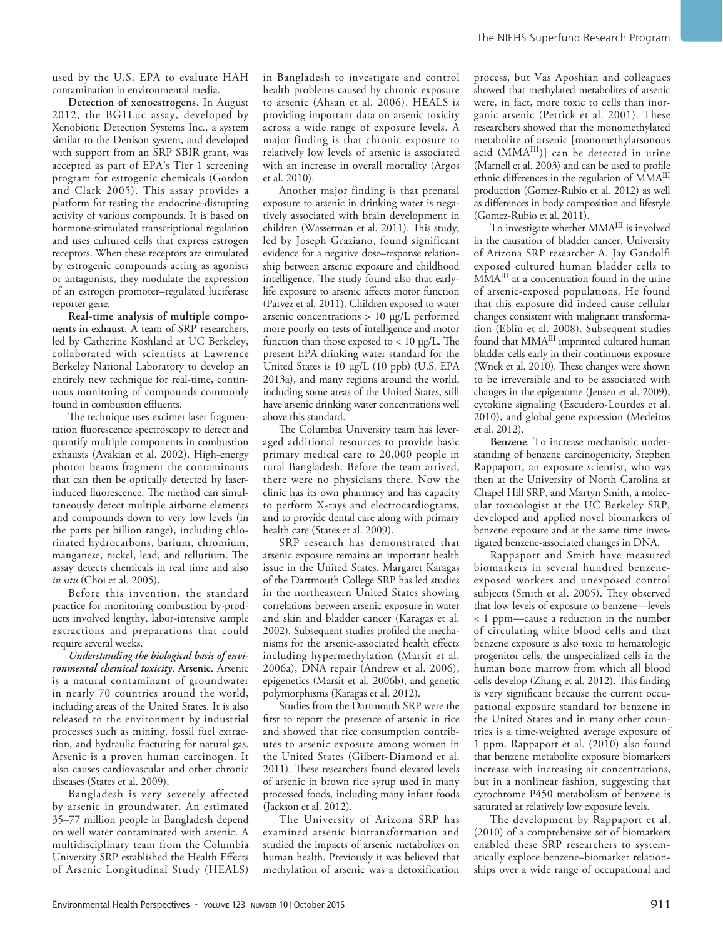used by the U.S. EPA to evaluate HAH contamination in environmental media.

**Detection of xenoestrogens**. In August 2012, the BG1Luc assay, developed by Xenobiotic Detection Systems Inc., a system similar to the Denison system, and developed with support from an SRP SBIR grant, was accepted as part of EPA's Tier 1 screening program for estrogenic chemicals (Gordon and Clark 2005). This assay provides a platform for testing the endocrine-disrupting activity of various compounds. It is based on hormone-stimulated transcriptional regulation and uses cultured cells that express estrogen receptors. When these receptors are stimulated by estrogenic compounds acting as agonists or antagonists, they modulate the expression of an estrogen promoter–regulated luciferase reporter gene.

**Real-time analysis of multiple components in exhaust**. A team of SRP researchers, led by Catherine Koshland at UC Berkeley, collaborated with scientists at Lawrence Berkeley National Laboratory to develop an entirely new technique for real-time, continuous monitoring of compounds commonly found in combustion effluents.

The technique uses excimer laser fragmentation fluorescence spectroscopy to detect and quantify multiple components in combustion exhausts (Avakian et al. 2002). High-energy photon beams fragment the contaminants that can then be optically detected by laserinduced fluorescence. The method can simultaneously detect multiple airborne elements and compounds down to very low levels (in the parts per billion range), including chlorinated hydrocarbons, barium, chromium, manganese, nickel, lead, and tellurium. The assay detects chemicals in real time and also *in situ* (Choi et al. 2005).

Before this invention, the standard practice for monitoring combustion by-products involved lengthy, labor-intensive sample extractions and preparations that could require several weeks.

*Understanding the biological basis of environmental chemical toxicity*. **Arsenic**. Arsenic is a natural contaminant of groundwater in nearly 70 countries around the world, including areas of the United States. It is also released to the environment by industrial processes such as mining, fossil fuel extraction, and hydraulic fracturing for natural gas. Arsenic is a proven human carcinogen. It also causes cardiovascular and other chronic diseases (States et al. 2009).

Bangladesh is very severely affected by arsenic in groundwater. An estimated 35–77 million people in Bangladesh depend on well water contaminated with arsenic. A multidisciplinary team from the Columbia University SRP established the Health Effects of Arsenic Longitudinal Study (HEALS)

in Bangladesh to investigate and control health problems caused by chronic exposure to arsenic (Ahsan et al. 2006). HEALS is providing important data on arsenic toxicity across a wide range of exposure levels. A major finding is that chronic exposure to relatively low levels of arsenic is associated with an increase in overall mortality (Argos et al. 2010).

Another major finding is that prenatal exposure to arsenic in drinking water is negatively associated with brain development in children (Wasserman et al. 2011). This study, led by Joseph Graziano, found significant evidence for a negative dose–response relationship between arsenic exposure and childhood intelligence. The study found also that earlylife exposure to arsenic affects motor function (Parvez et al. 2011). Children exposed to water arsenic concentrations > 10 μg/L performed more poorly on tests of intelligence and motor function than those exposed to < 10 μg/L. The present EPA drinking water standard for the United States is 10 μg/L (10 ppb) (U.S. EPA 2013a), and many regions around the world, including some areas of the United States, still have arsenic drinking water concentrations well above this standard.

The Columbia University team has leveraged additional resources to provide basic primary medical care to 20,000 people in rural Bangladesh. Before the team arrived, there were no physicians there. Now the clinic has its own pharmacy and has capacity to perform X-rays and electrocardiograms, and to provide dental care along with primary health care (States et al. 2009).

SRP research has demonstrated that arsenic exposure remains an important health issue in the United States. Margaret Karagas of the Dartmouth College SRP has led studies in the northeastern United States showing correlations between arsenic exposure in water and skin and bladder cancer (Karagas et al. 2002). Subsequent studies profiled the mechanisms for the arsenic-associated health effects including hypermethylation (Marsit et al. 2006a), DNA repair (Andrew et al. 2006), epigenetics (Marsit et al. 2006b), and genetic polymorphisms (Karagas et al. 2012).

Studies from the Dartmouth SRP were the first to report the presence of arsenic in rice and showed that rice consumption contributes to arsenic exposure among women in the United States (Gilbert-Diamond et al. 2011). These researchers found elevated levels of arsenic in brown rice syrup used in many processed foods, including many infant foods (Jackson et al. 2012).

The University of Arizona SRP has examined arsenic biotransformation and studied the impacts of arsenic metabolites on human health. Previously it was believed that methylation of arsenic was a detoxification process, but Vas Aposhian and colleagues showed that methylated metabolites of arsenic were, in fact, more toxic to cells than inorganic arsenic (Petrick et al. 2001). These researchers showed that the monomethylated metabolite of arsenic [monomethylarsonous acid (MMAIII)] can be detected in urine (Marnell et al. 2003) and can be used to profile ethnic differences in the regulation of MMAIII production (Gomez-Rubio et al. 2012) as well as differences in body composition and lifestyle (Gomez-Rubio et al. 2011).

To investigate whether MMAIII is involved in the causation of bladder cancer, University of Arizona SRP researcher A. Jay Gandolfi exposed cultured human bladder cells to MMAIII at a concentration found in the urine of arsenic-exposed populations. He found that this exposure did indeed cause cellular changes consistent with malignant transformation (Eblin et al. 2008). Subsequent studies found that MMA<sup>III</sup> imprinted cultured human bladder cells early in their continuous exposure (Wnek et al. 2010). These changes were shown to be irreversible and to be associated with changes in the epigenome (Jensen et al. 2009), cytokine signaling (Escudero-Lourdes et al. 2010), and global gene expression (Medeiros et al. 2012).

**Benzene**. To increase mechanistic understanding of benzene carcinogenicity, Stephen Rappaport, an exposure scientist, who was then at the University of North Carolina at Chapel Hill SRP, and Martyn Smith, a molecular toxicologist at the UC Berkeley SRP, developed and applied novel biomarkers of benzene exposure and at the same time investigated benzene-associated changes in DNA.

Rappaport and Smith have measured biomarkers in several hundred benzeneexposed workers and unexposed control subjects (Smith et al. 2005). They observed that low levels of exposure to benzene—levels < 1 ppm—cause a reduction in the number of circulating white blood cells and that benzene exposure is also toxic to hematologic progenitor cells, the unspecialized cells in the human bone marrow from which all blood cells develop (Zhang et al. 2012). This finding is very significant because the current occupational exposure standard for benzene in the United States and in many other countries is a time-weighted average exposure of 1 ppm. Rappaport et al. (2010) also found that benzene metabolite exposure biomarkers increase with increasing air concentrations, but in a nonlinear fashion, suggesting that cytochrome P450 metabolism of benzene is saturated at relatively low exposure levels.

The development by Rappaport et al. (2010) of a comprehensive set of biomarkers enabled these SRP researchers to systematically explore benzene–biomarker relationships over a wide range of occupational and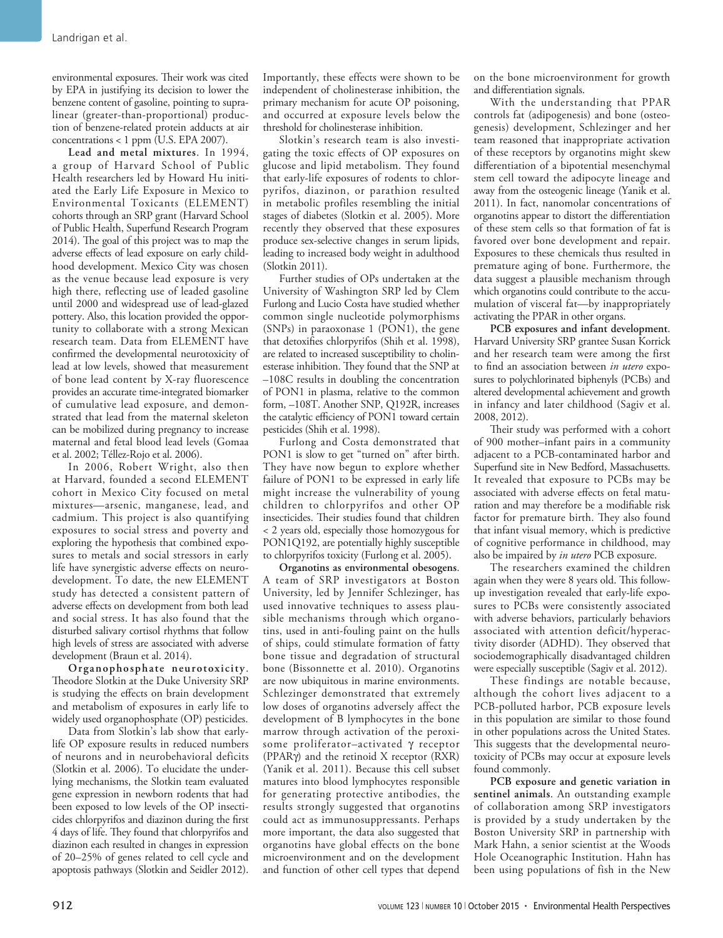environmental exposures. Their work was cited by EPA in justifying its decision to lower the benzene content of gasoline, pointing to supralinear (greater-than-proportional) production of benzene-related protein adducts at air concentrations < 1 ppm (U.S. EPA 2007).

**Lead and metal mixtures**. In 1994, a group of Harvard School of Public Health researchers led by Howard Hu initiated the Early Life Exposure in Mexico to Environmental Toxicants (ELEMENT) cohorts through an SRP grant (Harvard School of Public Health, Superfund Research Program 2014). The goal of this project was to map the adverse effects of lead exposure on early childhood development. Mexico City was chosen as the venue because lead exposure is very high there, reflecting use of leaded gasoline until 2000 and widespread use of lead-glazed pottery. Also, this location provided the opportunity to collaborate with a strong Mexican research team. Data from ELEMENT have confirmed the developmental neurotoxicity of lead at low levels, showed that measurement of bone lead content by X-ray fluorescence provides an accurate time-integrated biomarker of cumulative lead exposure, and demonstrated that lead from the maternal skeleton can be mobilized during pregnancy to increase maternal and fetal blood lead levels (Gomaa et al. 2002; Téllez-Rojo et al. 2006).

In 2006, Robert Wright, also then at Harvard, founded a second ELEMENT cohort in Mexico City focused on metal mixtures—arsenic, manganese, lead, and cadmium. This project is also quantifying exposures to social stress and poverty and exploring the hypothesis that combined exposures to metals and social stressors in early life have synergistic adverse effects on neurodevelopment. To date, the new ELEMENT study has detected a consistent pattern of adverse effects on development from both lead and social stress. It has also found that the disturbed salivary cortisol rhythms that follow high levels of stress are associated with adverse development (Braun et al. 2014).

**Organophosphate neurotoxicity**. Theodore Slotkin at the Duke University SRP is studying the effects on brain development and metabolism of exposures in early life to widely used organophosphate (OP) pesticides.

Data from Slotkin's lab show that earlylife OP exposure results in reduced numbers of neurons and in neurobehavioral deficits (Slotkin et al. 2006). To elucidate the underlying mechanisms, the Slotkin team evaluated gene expression in newborn rodents that had been exposed to low levels of the OP insecticides chlorpyrifos and diazinon during the first 4 days of life. They found that chlorpyrifos and diazinon each resulted in changes in expression of 20–25% of genes related to cell cycle and apoptosis pathways (Slotkin and Seidler 2012).

Importantly, these effects were shown to be independent of cholinesterase inhibition, the primary mechanism for acute OP poisoning, and occurred at exposure levels below the threshold for cholinesterase inhibition.

Slotkin's research team is also investigating the toxic effects of OP exposures on glucose and lipid metabolism. They found that early-life exposures of rodents to chlorpyrifos, diazinon, or parathion resulted in metabolic profiles resembling the initial stages of diabetes (Slotkin et al. 2005). More recently they observed that these exposures produce sex-selective changes in serum lipids, leading to increased body weight in adulthood (Slotkin 2011).

Further studies of OPs undertaken at the University of Washington SRP led by Clem Furlong and Lucio Costa have studied whether common single nucleotide polymorphisms (SNPs) in paraoxonase 1 (PON1), the gene that detoxifies chlorpyrifos (Shih et al. 1998), are related to increased susceptibility to cholinesterase inhibition. They found that the SNP at –108C results in doubling the concentration of PON1 in plasma, relative to the common form, –108T. Another SNP, Q192R, increases the catalytic efficiency of PON1 toward certain pesticides (Shih et al. 1998).

Furlong and Costa demonstrated that PON1 is slow to get "turned on" after birth. They have now begun to explore whether failure of PON1 to be expressed in early life might increase the vulnerability of young children to chlorpyrifos and other OP insecticides. Their studies found that children < 2 years old, especially those homozygous for PON1Q192, are potentially highly susceptible to chlorpyrifos toxicity (Furlong et al. 2005).

**Organotins as environmental obesogens**. A team of SRP investigators at Boston University, led by Jennifer Schlezinger, has used innovative techniques to assess plausible mechanisms through which organotins, used in anti-fouling paint on the hulls of ships, could stimulate formation of fatty bone tissue and degradation of structural bone (Bissonnette et al. 2010). Organotins are now ubiquitous in marine environments. Schlezinger demonstrated that extremely low doses of organotins adversely affect the development of B lymphocytes in the bone marrow through activation of the peroxisome proliferator–activated γ receptor (PPARγ) and the retinoid X receptor (RXR) (Yanik et al. 2011). Because this cell subset matures into blood lymphocytes responsible for generating protective antibodies, the results strongly suggested that organotins could act as immunosuppressants. Perhaps more important, the data also suggested that organotins have global effects on the bone microenvironment and on the development and function of other cell types that depend

on the bone microenvironment for growth and differentiation signals.

With the understanding that PPAR controls fat (adipogenesis) and bone (osteogenesis) development, Schlezinger and her team reasoned that inappropriate activation of these receptors by organotins might skew differentiation of a bipotential mesenchymal stem cell toward the adipocyte lineage and away from the osteogenic lineage (Yanik et al. 2011). In fact, nanomolar concentrations of organotins appear to distort the differentiation of these stem cells so that formation of fat is favored over bone development and repair. Exposures to these chemicals thus resulted in premature aging of bone. Furthermore, the data suggest a plausible mechanism through which organotins could contribute to the accumulation of visceral fat—by inappropriately activating the PPAR in other organs.

**PCB exposures and infant development**. Harvard University SRP grantee Susan Korrick and her research team were among the first to find an association between *in utero* exposures to polychlorinated biphenyls (PCBs) and altered developmental achievement and growth in infancy and later childhood (Sagiv et al. 2008, 2012).

Their study was performed with a cohort of 900 mother–infant pairs in a community adjacent to a PCB-contaminated harbor and Superfund site in New Bedford, Massachusetts. It revealed that exposure to PCBs may be associated with adverse effects on fetal maturation and may therefore be a modifiable risk factor for premature birth. They also found that infant visual memory, which is predictive of cognitive performance in childhood, may also be impaired by *in utero* PCB exposure.

The researchers examined the children again when they were 8 years old. This followup investigation revealed that early-life exposures to PCBs were consistently associated with adverse behaviors, particularly behaviors associated with attention deficit/hyperactivity disorder (ADHD). They observed that sociodemographically disadvantaged children were especially susceptible (Sagiv et al. 2012).

These findings are notable because, although the cohort lives adjacent to a PCB-polluted harbor, PCB exposure levels in this population are similar to those found in other populations across the United States. This suggests that the developmental neurotoxicity of PCBs may occur at exposure levels found commonly.

**PCB exposure and genetic variation in sentinel animals**. An outstanding example of collaboration among SRP investigators is provided by a study undertaken by the Boston University SRP in partnership with Mark Hahn, a senior scientist at the Woods Hole Oceanographic Institution. Hahn has been using populations of fish in the New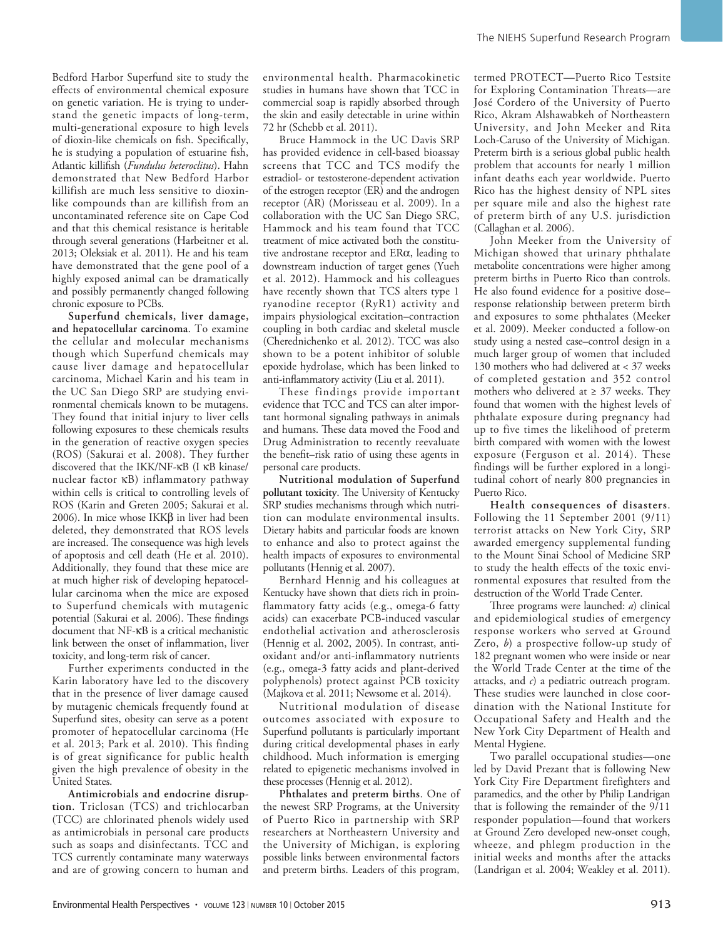Bedford Harbor Superfund site to study the effects of environmental chemical exposure on genetic variation. He is trying to understand the genetic impacts of long-term, multi-generational exposure to high levels of dioxin-like chemicals on fish. Specifically, he is studying a population of estuarine fish, Atlantic killifish (*Fundulus heteroclitus*). Hahn demonstrated that New Bedford Harbor killifish are much less sensitive to dioxinlike compounds than are killifish from an uncontaminated reference site on Cape Cod and that this chemical resistance is heritable through several generations (Harbeitner et al. 2013; Oleksiak et al. 2011). He and his team have demonstrated that the gene pool of a highly exposed animal can be dramatically and possibly permanently changed following chronic exposure to PCBs.

**Superfund chemicals, liver damage, and hepatocellular carcinoma**. To examine the cellular and molecular mechanisms though which Superfund chemicals may cause liver damage and hepatocellular carcinoma, Michael Karin and his team in the UC San Diego SRP are studying environmental chemicals known to be mutagens. They found that initial injury to liver cells following exposures to these chemicals results in the generation of reactive oxygen species (ROS) (Sakurai et al. 2008). They further discovered that the IKK/NF-κB (I κB kinase/ nuclear factor κB) inflammatory pathway within cells is critical to controlling levels of ROS (Karin and Greten 2005; Sakurai et al. 2006). In mice whose IKKβ in liver had been deleted, they demonstrated that ROS levels are increased. The consequence was high levels of apoptosis and cell death (He et al. 2010). Additionally, they found that these mice are at much higher risk of developing hepatocellular carcinoma when the mice are exposed to Superfund chemicals with mutagenic potential (Sakurai et al. 2006). These findings document that NF-κB is a critical mechanistic link between the onset of inflammation, liver toxicity, and long-term risk of cancer.

Further experiments conducted in the Karin laboratory have led to the discovery that in the presence of liver damage caused by mutagenic chemicals frequently found at Superfund sites, obesity can serve as a potent promoter of hepatocellular carcinoma (He et al. 2013; Park et al. 2010). This finding is of great significance for public health given the high prevalence of obesity in the United States.

**Antimicrobials and endocrine disruption**. Triclosan (TCS) and trichlocarban (TCC) are chlorinated phenols widely used as antimicrobials in personal care products such as soaps and disinfectants. TCC and TCS currently contaminate many waterways and are of growing concern to human and

environmental health. Pharmacokinetic studies in humans have shown that TCC in commercial soap is rapidly absorbed through the skin and easily detectable in urine within 72 hr (Schebb et al. 2011).

Bruce Hammock in the UC Davis SRP has provided evidence in cell-based bioassay screens that TCC and TCS modify the estradiol- or testosterone-dependent activation of the estrogen receptor (ER) and the androgen receptor (AR) (Morisseau et al. 2009). In a collaboration with the UC San Diego SRC, Hammock and his team found that TCC treatment of mice activated both the constitutive androstane receptor and ERα, leading to downstream induction of target genes (Yueh et al. 2012). Hammock and his colleagues have recently shown that TCS alters type 1 ryanodine receptor (RyR1) activity and impairs physiological excitation–contraction coupling in both cardiac and skeletal muscle (Cherednichenko et al. 2012). TCC was also shown to be a potent inhibitor of soluble epoxide hydrolase, which has been linked to anti-inflammatory activity (Liu et al. 2011).

These findings provide important evidence that TCC and TCS can alter important hormonal signaling pathways in animals and humans. These data moved the Food and Drug Administration to recently reevaluate the benefit–risk ratio of using these agents in personal care products.

**Nutritional modulation of Superfund pollutant toxicity**. The University of Kentucky SRP studies mechanisms through which nutrition can modulate environmental insults. Dietary habits and particular foods are known to enhance and also to protect against the health impacts of exposures to environmental pollutants (Hennig et al. 2007).

Bernhard Hennig and his colleagues at Kentucky have shown that diets rich in proinflammatory fatty acids (e.g., omega-6 fatty acids) can exacerbate PCB-induced vascular endothelial activation and atherosclerosis (Hennig et al. 2002, 2005). In contrast, antioxidant and/or anti-inflammatory nutrients (e.g., omega-3 fatty acids and plant-derived polyphenols) protect against PCB toxicity (Majkova et al. 2011; Newsome et al. 2014).

Nutritional modulation of disease outcomes associated with exposure to Superfund pollutants is particularly important during critical developmental phases in early childhood. Much information is emerging related to epigenetic mechanisms involved in these processes (Hennig et al. 2012).

**Phthalates and preterm births**. One of the newest SRP Programs, at the University of Puerto Rico in partnership with SRP researchers at Northeastern University and the University of Michigan, is exploring possible links between environmental factors and preterm births. Leaders of this program,

termed PROTECT—Puerto Rico Testsite for Exploring Contamination Threats—are José Cordero of the University of Puerto Rico, Akram Alshawabkeh of Northeastern University, and John Meeker and Rita Loch-Caruso of the University of Michigan. Preterm birth is a serious global public health problem that accounts for nearly 1 million infant deaths each year worldwide. Puerto Rico has the highest density of NPL sites per square mile and also the highest rate of preterm birth of any U.S. jurisdiction (Callaghan et al. 2006).

John Meeker from the University of Michigan showed that urinary phthalate metabolite concentrations were higher among preterm births in Puerto Rico than controls. He also found evidence for a positive dose– response relationship between preterm birth and exposures to some phthalates (Meeker et al. 2009). Meeker conducted a follow-on study using a nested case–control design in a much larger group of women that included 130 mothers who had delivered at < 37 weeks of completed gestation and 352 control mothers who delivered at  $\geq$  37 weeks. They found that women with the highest levels of phthalate exposure during pregnancy had up to five times the likelihood of preterm birth compared with women with the lowest exposure (Ferguson et al. 2014). These findings will be further explored in a longitudinal cohort of nearly 800 pregnancies in Puerto Rico.

**Health consequences of disasters**. Following the 11 September 2001 (9/11) terrorist attacks on New York City, SRP awarded emergency supplemental funding to the Mount Sinai School of Medicine SRP to study the health effects of the toxic environmental exposures that resulted from the destruction of the World Trade Center.

Three programs were launched: *a*) clinical and epidemiological studies of emergency response workers who served at Ground Zero, *b*) a prospective follow-up study of 182 pregnant women who were inside or near the World Trade Center at the time of the attacks, and *c*) a pediatric outreach program. These studies were launched in close coordination with the National Institute for Occupational Safety and Health and the New York City Department of Health and Mental Hygiene.

Two parallel occupational studies—one led by David Prezant that is following New York City Fire Department firefighters and paramedics, and the other by Philip Landrigan that is following the remainder of the 9/11 responder population—found that workers at Ground Zero developed new-onset cough, wheeze, and phlegm production in the initial weeks and months after the attacks (Landrigan et al. 2004; Weakley et al. 2011).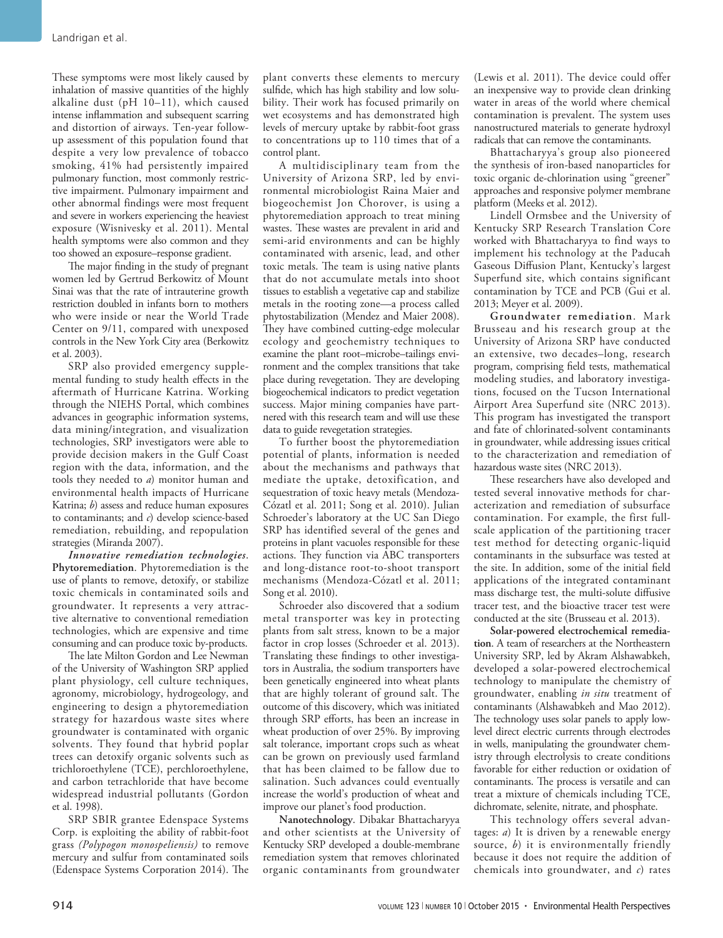These symptoms were most likely caused by inhalation of massive quantities of the highly alkaline dust (pH 10–11), which caused intense inflammation and subsequent scarring and distortion of airways. Ten-year followup assessment of this population found that despite a very low prevalence of tobacco smoking, 41% had persistently impaired pulmonary function, most commonly restrictive impairment. Pulmonary impairment and other abnormal findings were most frequent and severe in workers experiencing the heaviest exposure (Wisnivesky et al. 2011). Mental health symptoms were also common and they too showed an exposure–response gradient.

The major finding in the study of pregnant women led by Gertrud Berkowitz of Mount Sinai was that the rate of intrauterine growth restriction doubled in infants born to mothers who were inside or near the World Trade Center on 9/11, compared with unexposed controls in the New York City area (Berkowitz et al. 2003).

SRP also provided emergency supplemental funding to study health effects in the aftermath of Hurricane Katrina. Working through the NIEHS Portal, which combines advances in geographic information systems, data mining/integration, and visualization technologies, SRP investigators were able to provide decision makers in the Gulf Coast region with the data, information, and the tools they needed to *a*) monitor human and environmental health impacts of Hurricane Katrina; *b*) assess and reduce human exposures to contaminants; and *c*) develop science-based remediation, rebuilding, and repopulation strategies (Miranda 2007).

*Innovative remediation technologies*. **Phytoremediation**. Phytoremediation is the use of plants to remove, detoxify, or stabilize toxic chemicals in contaminated soils and groundwater. It represents a very attractive alternative to conventional remediation technologies, which are expensive and time consuming and can produce toxic by-products.

The late Milton Gordon and Lee Newman of the University of Washington SRP applied plant physiology, cell culture techniques, agronomy, microbiology, hydrogeology, and engineering to design a phytoremediation strategy for hazardous waste sites where groundwater is contaminated with organic solvents. They found that hybrid poplar trees can detoxify organic solvents such as trichloroethylene (TCE), perchloroethylene, and carbon tetrachloride that have become widespread industrial pollutants (Gordon et al. 1998).

SRP SBIR grantee Edenspace Systems Corp. is exploiting the ability of rabbit-foot grass *(Polypogon monospeliensis)* to remove mercury and sulfur from contaminated soils (Edenspace Systems Corporation 2014). The

plant converts these elements to mercury sulfide, which has high stability and low solubility. Their work has focused primarily on wet ecosystems and has demonstrated high levels of mercury uptake by rabbit-foot grass to concentrations up to 110 times that of a control plant.

A multidisciplinary team from the University of Arizona SRP, led by environmental microbiologist Raina Maier and biogeochemist Jon Chorover, is using a phytoremediation approach to treat mining wastes. These wastes are prevalent in arid and semi-arid environments and can be highly contaminated with arsenic, lead, and other toxic metals. The team is using native plants that do not accumulate metals into shoot tissues to establish a vegetative cap and stabilize metals in the rooting zone—a process called phytostabilization (Mendez and Maier 2008). They have combined cutting-edge molecular ecology and geochemistry techniques to examine the plant root–microbe–tailings environment and the complex transitions that take place during revegetation. They are developing biogeochemical indicators to predict vegetation success. Major mining companies have partnered with this research team and will use these data to guide revegetation strategies.

To further boost the phytoremediation potential of plants, information is needed about the mechanisms and pathways that mediate the uptake, detoxification, and sequestration of toxic heavy metals (Mendoza-Cózatl et al. 2011; Song et al. 2010). Julian Schroeder's laboratory at the UC San Diego SRP has identified several of the genes and proteins in plant vacuoles responsible for these actions. They function via ABC transporters and long-distance root-to-shoot transport mechanisms (Mendoza-Cózatl et al. 2011; Song et al. 2010).

Schroeder also discovered that a sodium metal transporter was key in protecting plants from salt stress, known to be a major factor in crop losses (Schroeder et al. 2013). Translating these findings to other investigators in Australia, the sodium transporters have been genetically engineered into wheat plants that are highly tolerant of ground salt. The outcome of this discovery, which was initiated through SRP efforts, has been an increase in wheat production of over 25%. By improving salt tolerance, important crops such as wheat can be grown on previously used farmland that has been claimed to be fallow due to salination. Such advances could eventually increase the world's production of wheat and improve our planet's food production.

**Nanotechnology**. Dibakar Bhattacharyya and other scientists at the University of Kentucky SRP developed a double-membrane remediation system that removes chlorinated organic contaminants from groundwater

(Lewis et al. 2011). The device could offer an inexpensive way to provide clean drinking water in areas of the world where chemical contamination is prevalent. The system uses nanostructured materials to generate hydroxyl radicals that can remove the contaminants.

Bhattacharyya's group also pioneered the synthesis of iron-based nanoparticles for toxic organic de-chlorination using "greener" approaches and responsive polymer membrane platform (Meeks et al. 2012).

Lindell Ormsbee and the University of Kentucky SRP Research Translation Core worked with Bhattacharyya to find ways to implement his technology at the Paducah Gaseous Diffusion Plant, Kentucky's largest Superfund site, which contains significant contamination by TCE and PCB (Gui et al. 2013; Meyer et al. 2009).

**Groundwater remediation**. Mark Brusseau and his research group at the University of Arizona SRP have conducted an extensive, two decades–long, research program, comprising field tests, mathematical modeling studies, and laboratory investigations, focused on the Tucson International Airport Area Superfund site (NRC 2013). This program has investigated the transport and fate of chlorinated-solvent contaminants in groundwater, while addressing issues critical to the characterization and remediation of hazardous waste sites (NRC 2013).

These researchers have also developed and tested several innovative methods for characterization and remediation of subsurface contamination. For example, the first fullscale application of the partitioning tracer test method for detecting organic-liquid contaminants in the subsurface was tested at the site. In addition, some of the initial field applications of the integrated contaminant mass discharge test, the multi-solute diffusive tracer test, and the bioactive tracer test were conducted at the site (Brusseau et al. 2013).

**Solar-powered electrochemical remediation**. A team of researchers at the Northeastern University SRP, led by Akram Alshawabkeh, developed a solar-powered electrochemical technology to manipulate the chemistry of groundwater, enabling *in situ* treatment of contaminants (Alshawabkeh and Mao 2012). The technology uses solar panels to apply lowlevel direct electric currents through electrodes in wells, manipulating the groundwater chemistry through electrolysis to create conditions favorable for either reduction or oxidation of contaminants. The process is versatile and can treat a mixture of chemicals including TCE, dichromate, selenite, nitrate, and phosphate.

This technology offers several advantages: *a*) It is driven by a renewable energy source, *b*) it is environmentally friendly because it does not require the addition of chemicals into groundwater, and *c*) rates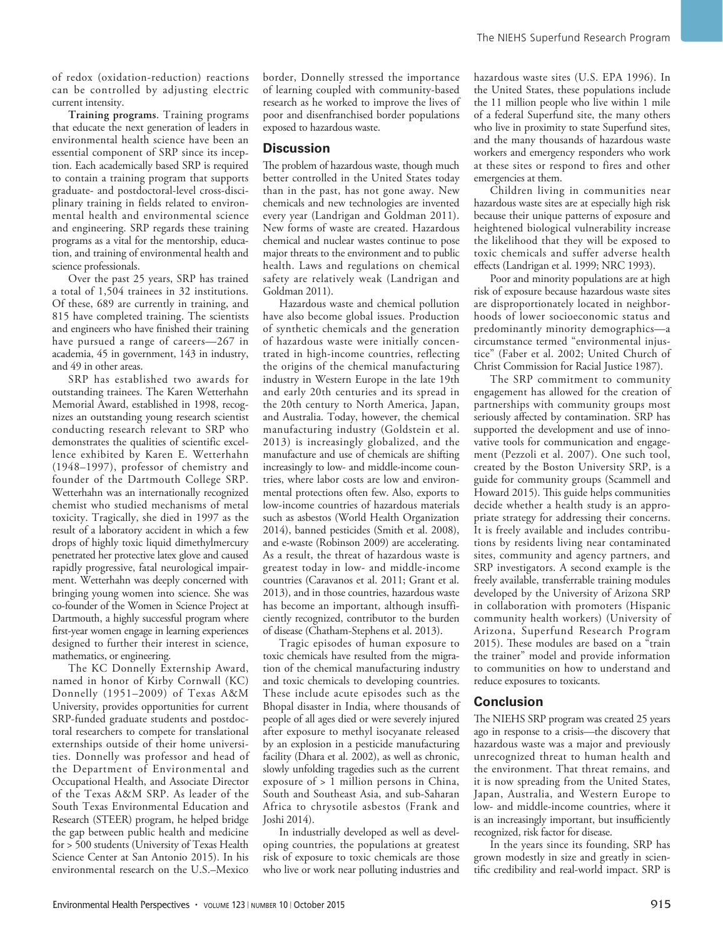of redox (oxidation-reduction) reactions can be controlled by adjusting electric current intensity.

**Training programs**. Training programs that educate the next generation of leaders in environmental health science have been an essential component of SRP since its inception. Each academically based SRP is required to contain a training program that supports graduate- and postdoctoral-level cross-disciplinary training in fields related to environmental health and environmental science and engineering. SRP regards these training programs as a vital for the mentorship, education, and training of environmental health and science professionals.

Over the past 25 years, SRP has trained a total of 1,504 trainees in 32 institutions. Of these, 689 are currently in training, and 815 have completed training. The scientists and engineers who have finished their training have pursued a range of careers—267 in academia, 45 in government, 143 in industry, and 49 in other areas.

SRP has established two awards for outstanding trainees. The Karen Wetterhahn Memorial Award, established in 1998, recognizes an outstanding young research scientist conducting research relevant to SRP who demonstrates the qualities of scientific excellence exhibited by Karen E. Wetterhahn (1948–1997), professor of chemistry and founder of the Dartmouth College SRP. Wetterhahn was an internationally recognized chemist who studied mechanisms of metal toxicity. Tragically, she died in 1997 as the result of a laboratory accident in which a few drops of highly toxic liquid dimethylmercury penetrated her protective latex glove and caused rapidly progressive, fatal neurological impairment. Wetterhahn was deeply concerned with bringing young women into science. She was co-founder of the Women in Science Project at Dartmouth, a highly successful program where first-year women engage in learning experiences designed to further their interest in science, mathematics, or engineering.

The KC Donnelly Externship Award, named in honor of Kirby Cornwall (KC) Donnelly (1951–2009) of Texas A&M University, provides opportunities for current SRP-funded graduate students and postdoctoral researchers to compete for translational externships outside of their home universities. Donnelly was professor and head of the Department of Environmental and Occupational Health, and Associate Director of the Texas A&M SRP. As leader of the South Texas Environmental Education and Research (STEER) program, he helped bridge the gap between public health and medicine for > 500 students (University of Texas Health Science Center at San Antonio 2015). In his environmental research on the U.S.–Mexico

border, Donnelly stressed the importance of learning coupled with community-based research as he worked to improve the lives of poor and disenfranchised border populations exposed to hazardous waste.

#### **Discussion**

The problem of hazardous waste, though much better controlled in the United States today than in the past, has not gone away. New chemicals and new technologies are invented every year (Landrigan and Goldman 2011). New forms of waste are created. Hazardous chemical and nuclear wastes continue to pose major threats to the environment and to public health. Laws and regulations on chemical safety are relatively weak (Landrigan and Goldman 2011).

Hazardous waste and chemical pollution have also become global issues. Production of synthetic chemicals and the generation of hazardous waste were initially concentrated in high-income countries, reflecting the origins of the chemical manufacturing industry in Western Europe in the late 19th and early 20th centuries and its spread in the 20th century to North America, Japan, and Australia. Today, however, the chemical manufacturing industry (Goldstein et al. 2013) is increasingly globalized, and the manufacture and use of chemicals are shifting increasingly to low- and middle-income countries, where labor costs are low and environmental protections often few. Also, exports to low-income countries of hazardous materials such as asbestos (World Health Organization 2014), banned pesticides (Smith et al. 2008), and e-waste (Robinson 2009) are accelerating. As a result, the threat of hazardous waste is greatest today in low- and middle-income countries (Caravanos et al. 2011; Grant et al. 2013), and in those countries, hazardous waste has become an important, although insufficiently recognized, contributor to the burden of disease (Chatham-Stephens et al. 2013).

Tragic episodes of human exposure to toxic chemicals have resulted from the migration of the chemical manufacturing industry and toxic chemicals to developing countries. These include acute episodes such as the Bhopal disaster in India, where thousands of people of all ages died or were severely injured after exposure to methyl isocyanate released by an explosion in a pesticide manufacturing facility (Dhara et al. 2002), as well as chronic, slowly unfolding tragedies such as the current exposure of > 1 million persons in China, South and Southeast Asia, and sub-Saharan Africa to chrysotile asbestos (Frank and Joshi 2014).

In industrially developed as well as developing countries, the populations at greatest risk of exposure to toxic chemicals are those who live or work near polluting industries and

hazardous waste sites (U.S. EPA 1996). In the United States, these populations include the 11 million people who live within 1 mile of a federal Superfund site, the many others who live in proximity to state Superfund sites, and the many thousands of hazardous waste workers and emergency responders who work at these sites or respond to fires and other emergencies at them.

Children living in communities near hazardous waste sites are at especially high risk because their unique patterns of exposure and heightened biological vulnerability increase the likelihood that they will be exposed to toxic chemicals and suffer adverse health effects (Landrigan et al. 1999; NRC 1993).

Poor and minority populations are at high risk of exposure because hazardous waste sites are disproportionately located in neighborhoods of lower socioeconomic status and predominantly minority demographics—a circumstance termed "environmental injustice" (Faber et al. 2002; United Church of Christ Commission for Racial Justice 1987).

The SRP commitment to community engagement has allowed for the creation of partnerships with community groups most seriously affected by contamination. SRP has supported the development and use of innovative tools for communication and engagement (Pezzoli et al. 2007). One such tool, created by the Boston University SRP, is a guide for community groups (Scammell and Howard 2015). This guide helps communities decide whether a health study is an appropriate strategy for addressing their concerns. It is freely available and includes contributions by residents living near contaminated sites, community and agency partners, and SRP investigators. A second example is the freely available, transferrable training modules developed by the University of Arizona SRP in collaboration with promoters (Hispanic community health workers) (University of Arizona, Superfund Research Program 2015). These modules are based on a "train the trainer" model and provide information to communities on how to understand and reduce exposures to toxicants.

### **Conclusion**

The NIEHS SRP program was created 25 years ago in response to a crisis—the discovery that hazardous waste was a major and previously unrecognized threat to human health and the environment. That threat remains, and it is now spreading from the United States, Japan, Australia, and Western Europe to low- and middle-income countries, where it is an increasingly important, but insufficiently recognized, risk factor for disease.

In the years since its founding, SRP has grown modestly in size and greatly in scientific credibility and real-world impact. SRP is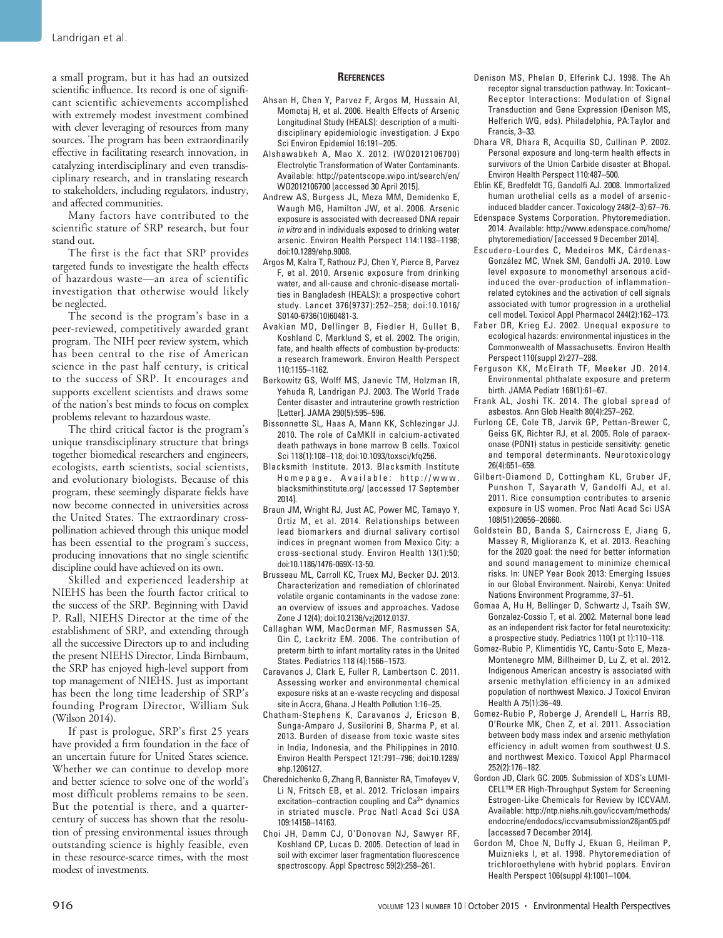a small program, but it has had an outsized scientific influence. Its record is one of significant scientific achievements accomplished with extremely modest investment combined with clever leveraging of resources from many sources. The program has been extraordinarily effective in facilitating research innovation, in catalyzing interdisciplinary and even transdisciplinary research, and in translating research to stakeholders, including regulators, industry, and affected communities.

Many factors have contributed to the scientific stature of SRP research, but four stand out.

The first is the fact that SRP provides targeted funds to investigate the health effects of hazardous waste—an area of scientific investigation that otherwise would likely be neglected.

The second is the program's base in a peer-reviewed, competitively awarded grant program. The NIH peer review system, which has been central to the rise of American science in the past half century, is critical to the success of SRP. It encourages and supports excellent scientists and draws some of the nation's best minds to focus on complex problems relevant to hazardous waste.

The third critical factor is the program's unique transdisciplinary structure that brings together biomedical researchers and engineers, ecologists, earth scientists, social scientists, and evolutionary biologists. Because of this program, these seemingly disparate fields have now become connected in universities across the United States. The extraordinary crosspollination achieved through this unique model has been essential to the program's success, producing innovations that no single scientific discipline could have achieved on its own.

Skilled and experienced leadership at NIEHS has been the fourth factor critical to the success of the SRP. Beginning with David P. Rall, NIEHS Director at the time of the establishment of SRP, and extending through all the successive Directors up to and including the present NIEHS Director, Linda Birnbaum, the SRP has enjoyed high-level support from top management of NIEHS. Just as important has been the long time leadership of SRP's founding Program Director, William Suk (Wilson 2014).

If past is prologue, SRP's first 25 years have provided a firm foundation in the face of an uncertain future for United States science. Whether we can continue to develop more and better science to solve one of the world's most difficult problems remains to be seen. But the potential is there, and a quartercentury of success has shown that the resolution of pressing environmental issues through outstanding science is highly feasible, even in these resource-scarce times, with the most modest of investments.

#### **References**

- Ahsan H, Chen Y, Parvez F, Argos M, Hussain AI, Momotaj H, et al. 2006. Health Effects of Arsenic Longitudinal Study (HEALS): description of a multidisciplinary epidemiologic investigation. J Expo Sci Environ Epidemiol 16:191–205.
- Alshawabkeh A, Mao X. 2012. (WO2012106700) Electrolytic Transformation of Water Contaminants. Available: [http://patentscope.wipo.int/search/en/](http://patentscope.wipo.int/search/en/WO2012106700) [WO2012106700](http://patentscope.wipo.int/search/en/WO2012106700) [accessed 30 April 2015].
- Andrew AS, Burgess JL, Meza MM, Demidenko E, Waugh MG, Hamilton JW, et al. 2006. Arsenic exposure is associated with decreased DNA repair *in vitro* and in individuals exposed to drinking water arsenic. Environ Health Perspect 114:1193–1198; doi:10.1289/ehp.9008.
- Argos M, Kalra T, Rathouz PJ, Chen Y, Pierce B, Parvez F, et al. 2010. Arsenic exposure from drinking water, and all-cause and chronic-disease mortalities in Bangladesh (HEALS): a prospective cohort study. Lancet 376(9737):252–258; doi:10.1016/ S0140-6736(10)60481-3.
- Avakian MD, Dellinger B, Fiedler H, Gullet B, Koshland C, Marklund S, et al. 2002. The origin, fate, and health effects of combustion by-products: a research framework. Environ Health Perspect 110:1155–1162.
- Berkowitz GS, Wolff MS, Janevic TM, Holzman IR, Yehuda R, Landrigan PJ. 2003. The World Trade Center disaster and intrauterine growth restriction [Letter]. JAMA 290(5):595–596.
- Bissonnette SL, Haas A, Mann KK, Schlezinger JJ. 2010. The role of CaMKII in calcium-activated death pathways in bone marrow B cells. Toxicol Sci 118(1):108–118; doi:10.1093/toxsci/kfq256.
- Blacksmith Institute. 2013. Blacksmith Institute Homepage. Available: [http://www.](http://www.blacksmithinstitute.org/) [blacksmithinstitute.org/](http://www.blacksmithinstitute.org/) [accessed 17 September 2014].
- Braun JM, Wright RJ, Just AC, Power MC, Tamayo Y, Ortiz M, et al. 2014. Relationships between lead biomarkers and diurnal salivary cortisol indices in pregnant women from Mexico City: a cross-sectional study. Environ Health 13(1):50; doi:10.1186/1476-069X-13-50.
- Brusseau ML, Carroll KC, Truex MJ, Becker DJ. 2013. Characterization and remediation of chlorinated volatile organic contaminants in the vadose zone: an overview of issues and approaches. Vadose Zone J 12(4); doi:10.2136/vzj2012.0137.
- Callaghan WM, MacDorman MF, Rasmussen SA, Qin C, Lackritz EM. 2006. The contribution of preterm birth to infant mortality rates in the United States. Pediatrics 118 (4):1566–1573.
- Caravanos J, Clark E, Fuller R, Lambertson C. 2011. Assessing worker and environmental chemical exposure risks at an e-waste recycling and disposal site in Accra, Ghana. J Health Pollution 1:16–25.
- Chatham-Stephens K, Caravanos J, Ericson B, Sunga-Amparo J, Susilorini B, Sharma P, et al. 2013. Burden of disease from toxic waste sites in India, Indonesia, and the Philippines in 2010. Environ Health Perspect 121:791–796; doi:10.1289/ ehp.1206127.
- Cherednichenko G, Zhang R, Bannister RA, Timofeyev V, Li N, Fritsch EB, et al. 2012. Triclosan impairs excitation–contraction coupling and  $Ca<sup>2+</sup>$  dynamics in striated muscle. Proc Natl Acad Sci USA 109:14158–14163.
- Choi JH, Damm CJ, O'Donovan NJ, Sawyer RF, Koshland CP, Lucas D. 2005. Detection of lead in soil with excimer laser fragmentation fluorescence spectroscopy. Appl Spectrosc 59(2):258–261.
- Denison MS, Phelan D, Elferink CJ. 1998. The Ah receptor signal transduction pathway. In: Toxicant– Receptor Interactions: Modulation of Signal Transduction and Gene Expression (Denison MS, Helferich WG, eds). Philadelphia, PA:Taylor and Francis, 3–33.
- Dhara VR, Dhara R, Acquilla SD, Cullinan P. 2002. Personal exposure and long-term health effects in survivors of the Union Carbide disaster at Bhopal. Environ Health Perspect 110:487–500.
- Eblin KE, Bredfeldt TG, Gandolfi AJ. 2008. Immortalized human urothelial cells as a model of arsenicinduced bladder cancer. Toxicology 248(2–3):67–76.
- Edenspace Systems Corporation. Phytoremediation. 2014. Available: [http://www.edenspace.com/home/](http://www.edenspace.com/home/phytoremediation/) [phytoremediation/](http://www.edenspace.com/home/phytoremediation/) [accessed 9 December 2014].
- Escudero-Lourdes C, Medeiros MK, Cárdenas-González MC, Wnek SM, Gandolfi JA. 2010. Low level exposure to monomethyl arsonous acidinduced the over-production of inflammationrelated cytokines and the activation of cell signals associated with tumor progression in a urothelial cell model. Toxicol Appl Pharmacol 244(2):162–173.
- Faber DR, Krieg EJ. 2002. Unequal exposure to ecological hazards: environmental injustices in the Commonwealth of Massachusetts. Environ Health Perspect 110(suppl 2):277–288.
- Ferguson KK, McElrath TF, Meeker JD. 2014. Environmental phthalate exposure and preterm birth. JAMA Pediatr 168(1):61–67.
- Frank AL, Joshi TK. 2014. The global spread of asbestos. Ann Glob Health 80(4):257–262.
- Furlong CE, Cole TB, Jarvik GP, Pettan-Brewer C, Geiss GK, Richter RJ, et al. 2005. Role of paraoxonase (PON1) status in pesticide sensitivity: genetic and temporal determinants. Neurotoxicology 26(4):651–659.
- Gilbert-Diamond D, Cottingham KL, Gruber JF, Punshon T, Sayarath V, Gandolfi AJ, et al. 2011. Rice consumption contributes to arsenic exposure in US women. Proc Natl Acad Sci USA 108(51):20656–20660.
- Goldstein BD, Banda S, Cairncross E, Jiang G, Massey R, Miglioranza K, et al. 2013. Reaching for the 2020 goal: the need for better information and sound management to minimize chemical risks. In: UNEP Year Book 2013: Emerging Issues in our Global Environment. Nairobi, Kenya: United Nations Environment Programme, 37–51.
- Gomaa A, Hu H, Bellinger D, Schwartz J, Tsaih SW, Gonzalez-Cossio T, et al. 2002. Maternal bone lead as an independent risk factor for fetal neurotoxicity: a prospective study. Pediatrics 110(1 pt 1):110–118.
- Gomez-Rubio P, Klimentidis YC, Cantu-Soto E, Meza-Montenegro MM, Billheimer D, Lu Z, et al. 2012. Indigenous American ancestry is associated with arsenic methylation efficiency in an admixed population of northwest Mexico. J Toxicol Environ Health A 75(1):36–49.
- Gomez-Rubio P, Roberge J, Arendell L, Harris RB, O'Rourke MK, Chen Z, et al. 2011. Association between body mass index and arsenic methylation efficiency in adult women from southwest U.S. and northwest Mexico. Toxicol Appl Pharmacol 252(2):176–182.
- Gordon JD, Clark GC. 2005. Submission of XDS's LUMI-CELL™ ER High-Throughput System for Screening Estrogen-Like Chemicals for Review by ICCVAM. Available: [http://ntp.niehs.nih.gov/iccvam/methods/](http://ntp.niehs.nih.gov/iccvam/methods/endocrine/endodocs/iccvamsubmission28jan05.pdf) [endocrine/endodocs/iccvamsubmission28jan05.pdf](http://ntp.niehs.nih.gov/iccvam/methods/endocrine/endodocs/iccvamsubmission28jan05.pdf)  [accessed 7 December 2014].
- Gordon M, Choe N, Duffy J, Ekuan G, Heilman P, Muiznieks I, et al. 1998. Phytoremediation of trichloroethylene with hybrid poplars. Environ Health Perspect 106(suppl 4):1001–1004.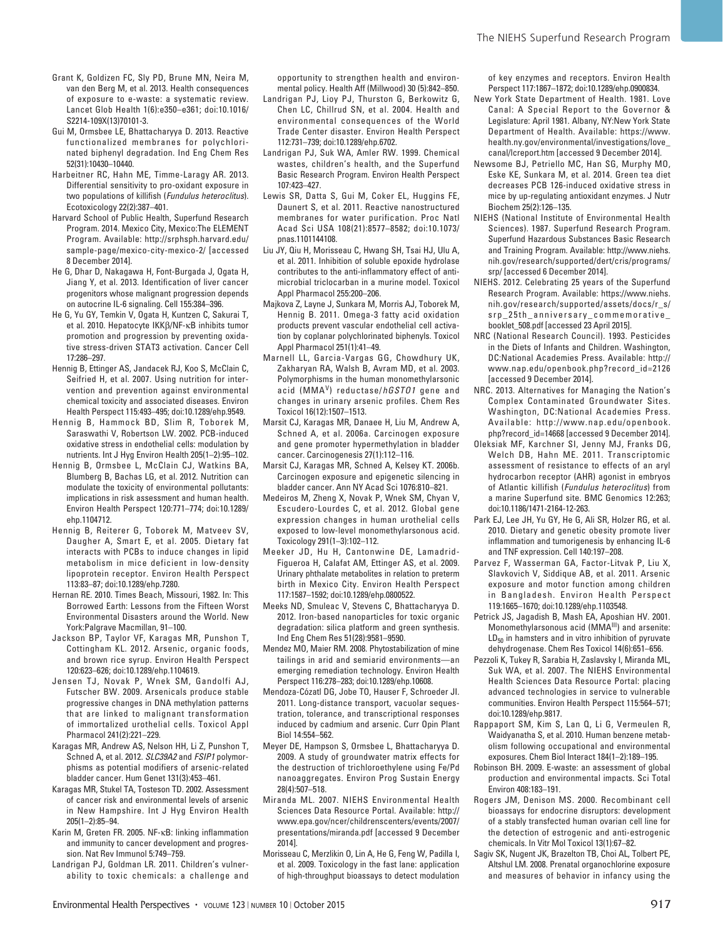- Grant K, Goldizen FC, Sly PD, Brune MN, Neira M, van den Berg M, et al. 2013. Health consequences of exposure to e-waste: a systematic review. Lancet Glob Health 1(6):e350–e361; doi:10.1016/ S2214-109X(13)70101-3.
- Gui M, Ormsbee LE, Bhattacharyya D. 2013. Reactive functionalized membranes for polychlorinated biphenyl degradation. Ind Eng Chem Res 52(31):10430–10440.
- Harbeitner RC, Hahn ME, Timme-Laragy AR. 2013. Differential sensitivity to pro-oxidant exposure in two populations of killifish (*Fundulus heteroclitus*). Ecotoxicology 22(2):387–401.
- Harvard School of Public Health, Superfund Research Program. 2014. Mexico City, Mexico:The ELEMENT Program. Available: [http://srphsph.harvard.edu/](http://srphsph.harvard.edu/sample-page/mexico-city-mexico-2/) [sample-page/mexico-city-mexico-2/](http://srphsph.harvard.edu/sample-page/mexico-city-mexico-2/) [accessed 8 December 2014].
- He G, Dhar D, Nakagawa H, Font-Burgada J, Ogata H, Jiang Y, et al. 2013. Identification of liver cancer progenitors whose malignant progression depends on autocrine IL-6 signaling. Cell 155:384–396.
- He G, Yu GY, Temkin V, Ogata H, Kuntzen C, Sakurai T, et al. 2010. Hepatocyte IKKβ/NF-κB inhibits tumor promotion and progression by preventing oxidative stress-driven STAT3 activation. Cancer Cell 17:286–297.
- Hennig B, Ettinger AS, Jandacek RJ, Koo S, McClain C, Seifried H, et al. 2007. Using nutrition for intervention and prevention against environmental chemical toxicity and associated diseases. Environ Health Perspect 115:493–495; doi:10.1289/ehp.9549.
- Hennig B, Hammock BD, Slim R, Toborek M, Saraswathi V, Robertson LW. 2002. PCB-induced oxidative stress in endothelial cells: modulation by nutrients. Int J Hyg Environ Health 205(1–2):95–102.
- Hennig B, Ormsbee L, McClain CJ, Watkins BA, Blumberg B, Bachas LG, et al. 2012. Nutrition can modulate the toxicity of environmental pollutants: implications in risk assessment and human health. Environ Health Perspect 120:771–774; doi:10.1289/ ehp.1104712.
- Hennig B, Reiterer G, Toborek M, Matveev SV, Daugher A, Smart E, et al. 2005. Dietary fat interacts with PCBs to induce changes in lipid metabolism in mice deficient in low-density lipoprotein receptor. Environ Health Perspect 113:83–87; doi:10.1289/ehp.7280.
- Hernan RE. 2010. Times Beach, Missouri, 1982. In: This Borrowed Earth: Lessons from the Fifteen Worst Environmental Disasters around the World. New York:Palgrave Macmillan, 91–100.
- Jackson BP, Taylor VF, Karagas MR, Punshon T, Cottingham KL. 2012. Arsenic, organic foods, and brown rice syrup. Environ Health Perspect 120:623–626; doi:10.1289/ehp.1104619.
- Jensen TJ, Novak P, Wnek SM, Gandolfi AJ, Futscher BW. 2009. Arsenicals produce stable progressive changes in DNA methylation patterns that are linked to malignant transformation of immortalized urothelial cells. Toxicol Appl Pharmacol 241(2):221–229.
- Karagas MR, Andrew AS, Nelson HH, Li Z, Punshon T, Schned A, et al. 2012. *SLC39A2* and *FSIP1* polymorphisms as potential modifiers of arsenic-related bladder cancer. Hum Genet 131(3):453–461.
- Karagas MR, Stukel TA, Tosteson TD. 2002. Assessment of cancer risk and environmental levels of arsenic in New Hampshire. Int J Hyg Environ Health 205(1–2):85–94.
- Karin M, Greten FR. 2005. NF-κB: linking inflammation and immunity to cancer development and progression. Nat Rev Immunol 5:749–759.
- Landrigan PJ, Goldman LR. 2011. Children's vulnerability to toxic chemicals: a challenge and

opportunity to strengthen health and environmental policy. Health Aff (Millwood) 30 (5):842–850.

- Landrigan PJ, Lioy PJ, Thurston G, Berkowitz G, Chen LC, Chillrud SN, et al. 2004. Health and environmental consequences of the World Trade Center disaster. Environ Health Perspect 112:731–739; doi:10.1289/ehp.6702.
- Landrigan PJ, Suk WA, Amler RW. 1999. Chemical wastes, children's health, and the Superfund Basic Research Program. Environ Health Perspect 107:423–427.
- Lewis SR, Datta S, Gui M, Coker EL, Huggins FE, Daunert S, et al. 2011. Reactive nanostructured membranes for water purification. Proc Natl Acad Sci USA 108(21):8577–8582; doi:10.1073/ pnas.1101144108.
- Liu JY, Qiu H, Morisseau C, Hwang SH, Tsai HJ, Ulu A, et al. 2011. Inhibition of soluble epoxide hydrolase contributes to the anti-inflammatory effect of antimicrobial triclocarban in a murine model. Toxicol Appl Pharmacol 255:200–206.
- Majkova Z, Layne J, Sunkara M, Morris AJ, Toborek M, Hennig B. 2011. Omega-3 fatty acid oxidation products prevent vascular endothelial cell activation by coplanar polychlorinated biphenyls. Toxicol Appl Pharmacol 251(1):41–49.
- Marnell LL, Garcia-Vargas GG, Chowdhury UK, Zakharyan RA, Walsh B, Avram MD, et al. 2003. Polymorphisms in the human monomethylarsonic acid (MMAV) reductase/*hGSTO1* gene and changes in urinary arsenic profiles. Chem Res Toxicol 16(12):1507–1513.
- Marsit CJ, Karagas MR, Danaee H, Liu M, Andrew A, Schned A, et al. 2006a. Carcinogen exposure and gene promoter hypermethylation in bladder cancer. Carcinogenesis 27(1):112–116.
- Marsit CJ, Karagas MR, Schned A, Kelsey KT. 2006b. Carcinogen exposure and epigenetic silencing in bladder cancer. Ann NY Acad Sci 1076:810–821.
- Medeiros M, Zheng X, Novak P, Wnek SM, Chyan V, Escudero-Lourdes C, et al. 2012. Global gene expression changes in human urothelial cells exposed to low-level monomethylarsonous acid. Toxicology 291(1–3):102–112.
- Meeker JD, Hu H, Cantonwine DE, Lamadrid-Figueroa H, Calafat AM, Ettinger AS, et al. 2009. Urinary phthalate metabolites in relation to preterm birth in Mexico City. Environ Health Perspect 117:1587–1592; doi:10.1289/ehp.0800522.
- Meeks ND, Smuleac V, Stevens C, Bhattacharyya D. 2012. Iron-based nanoparticles for toxic organic degradation: silica platform and green synthesis. Ind Eng Chem Res 51(28):9581–9590.
- Mendez MO, Maier RM. 2008. Phytostabilization of mine tailings in arid and semiarid environments—an emerging remediation technology. Environ Health Perspect 116:278–283; doi:10.1289/ehp.10608.
- Mendoza-Cózatl DG, Jobe TO, Hauser F, Schroeder JI. 2011. Long-distance transport, vacuolar sequestration, tolerance, and transcriptional responses induced by cadmium and arsenic. Curr Opin Plant Biol 14:554–562.
- Meyer DE, Hampson S, Ormsbee L, Bhattacharyya D. 2009. A study of groundwater matrix effects for the destruction of trichloroethylene using Fe/Pd nanoaggregates. Environ Prog Sustain Energy 28(4):507–518.
- Miranda ML. 2007. NIEHS Environmental Health Sciences Data Resource Portal. Available: [http://](http://www.epa.gov/ncer/childrenscenters/events/2007/presentations/miranda.pdf) [www.epa.gov/ncer/childrenscenters/events/2007/](http://www.epa.gov/ncer/childrenscenters/events/2007/presentations/miranda.pdf) [presentations/miranda.pdf](http://www.epa.gov/ncer/childrenscenters/events/2007/presentations/miranda.pdf) [accessed 9 December 2014].
- Morisseau C, Merzlikin O, Lin A, He G, Feng W, Padilla I, et al. 2009. Toxicology in the fast lane: application of high-throughput bioassays to detect modulation

of key enzymes and receptors. Environ Health Perspect 117:1867–1872; doi:10.1289/ehp.0900834.

- New York State Department of Health. 1981. Love Canal: A Special Report to the Governor & Legislature: April 1981. Albany, NY:New York State Department of Health. Available: [https://www.](https://www.health.ny.gov/environmental/investigations/love_canal/lcreport.htm) [health.ny.gov/environmental/investigations/love\\_](https://www.health.ny.gov/environmental/investigations/love_canal/lcreport.htm) [canal/lcreport.htm](https://www.health.ny.gov/environmental/investigations/love_canal/lcreport.htm) [accessed 9 December 2014].
- Newsome BJ, Petriello MC, Han SG, Murphy MO, Eske KE, Sunkara M, et al. 2014. Green tea diet decreases PCB 126-induced oxidative stress in mice by up-regulating antioxidant enzymes. J Nutr Biochem 25(2):126–135.
- NIEHS (National Institute of Environmental Health Sciences). 1987. Superfund Research Program. Superfund Hazardous Substances Basic Research and Training Program. Available: [http://www.niehs.](http://www.niehs.nih.gov/research/supported/dert/cris/programs/srp/) [nih.gov/research/supported/dert/cris/programs/](http://www.niehs.nih.gov/research/supported/dert/cris/programs/srp/) [srp/](http://www.niehs.nih.gov/research/supported/dert/cris/programs/srp/) [accessed 6 December 2014].
- NIEHS. 2012. Celebrating 25 years of the Superfund Research Program. Available: [https://www.niehs.](https://www.niehs.nih.gov/research/supported/assets/docs/r_s/srp_25th_anniversary_commemorative_booklet_508.pdf) [nih.gov/research/supported/assets/docs/r\\_s/](https://www.niehs.nih.gov/research/supported/assets/docs/r_s/srp_25th_anniversary_commemorative_booklet_508.pdf) [srp\\_25th\\_anniversary\\_commemorative\\_](https://www.niehs.nih.gov/research/supported/assets/docs/r_s/srp_25th_anniversary_commemorative_booklet_508.pdf) [booklet\\_508.pdf](https://www.niehs.nih.gov/research/supported/assets/docs/r_s/srp_25th_anniversary_commemorative_booklet_508.pdf) [accessed 23 April 2015].
- NRC (National Research Council). 1993. Pesticides in the Diets of Infants and Children. Washington, DC:National Academies Press. Available: [http://](http://www.nap.edu/openbook.php?record_id=2126) [www.nap.edu/openbook.php?record\\_id=2126](http://www.nap.edu/openbook.php?record_id=2126)  [accessed 9 December 2014].
- NRC. 2013. Alternatives for Managing the Nation's Complex Contaminated Groundwater Sites. Washington, DC:National Academies Press. Available: [http://www.nap.edu/openbook.](http://www.nap.edu/openbook.php?record_id=14668) [php?record\\_id=14668](http://www.nap.edu/openbook.php?record_id=14668) [accessed 9 December 2014].
- Oleksiak MF, Karchner SI, Jenny MJ, Franks DG, Welch DB, Hahn ME. 2011. Transcriptomic assessment of resistance to effects of an aryl hydrocarbon receptor (AHR) agonist in embryos of Atlantic killifish (*Fundulus heteroclitus*) from a marine Superfund site. BMC Genomics 12:263; doi:10.1186/1471-2164-12-263.
- Park EJ, Lee JH, Yu GY, He G, Ali SR, Holzer RG, et al. 2010. Dietary and genetic obesity promote liver inflammation and tumorigenesis by enhancing IL-6 and TNF expression. Cell 140:197–208.
- Parvez F, Wasserman GA, Factor-Litvak P, Liu X, Slavkovich V, Siddique AB, et al. 2011. Arsenic exposure and motor function among children in Bangladesh. Environ Health Perspect 119:1665–1670; doi:10.1289/ehp.1103548.
- Petrick JS, Jagadish B, Mash EA, Aposhian HV. 2001. Monomethylarsonous acid (MMA<sup>III</sup>) and arsenite:  $LD_{50}$  in hamsters and in vitro inhibition of pyruvate dehydrogenase. Chem Res Toxicol 14(6):651–656.
- Pezzoli K, Tukey R, Sarabia H, Zaslavsky I, Miranda ML, Suk WA, et al. 2007. The NIEHS Environmental Health Sciences Data Resource Portal: placing advanced technologies in service to vulnerable communities. Environ Health Perspect 115:564–571; doi:10.1289/ehp.9817.
- Rappaport SM, Kim S, Lan Q, Li G, Vermeulen R, Waidyanatha S, et al. 2010. Human benzene metabolism following occupational and environmental exposures. Chem Biol Interact 184(1–2):189–195.
- Robinson BH. 2009. E-waste: an assessment of global production and environmental impacts. Sci Total Environ 408:183–191.
- Rogers JM, Denison MS. 2000. Recombinant cell bioassays for endocrine disruptors: development of a stably transfected human ovarian cell line for the detection of estrogenic and anti-estrogenic chemicals. In Vitr Mol Toxicol 13(1):67–82.
- Sagiv SK, Nugent JK, Brazelton TB, Choi AL, Tolbert PE, Altshul LM. 2008. Prenatal organochlorine exposure and measures of behavior in infancy using the